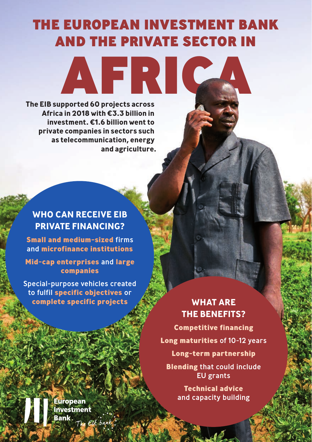# THE EUROPEAN INVESTMENT BANK AND THE PRIVATE SECTOR IN

AFRICA

**The EIB supported 60 projects across Africa in 2018 with €3.3 billion in investment. €1.6 billion went to private companies in sectors such as telecommunication, energy and agriculture.**

#### **WHO CAN RECEIVE EIB PRIVATE FINANCING?**

**Small and medium-sized** firms and **microfinance institutions**

**Mid-cap enterprises** and **large companies**

Special-purpose vehicles created to fulfil **specific objectives** or **complete specific projects WHAT ARE** 

# **THE BENEFITS?**

**Competitive financing Long maturities** of 10-12 years **Long-term partnership Blending** that could include EU grants

> **Technical advice** and capacity building

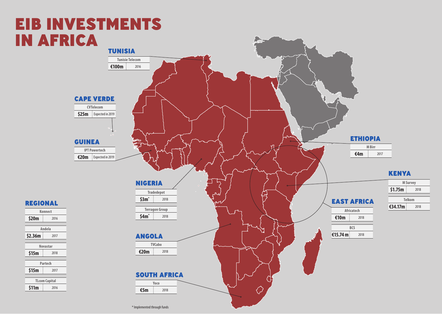# EIB INVESTMENTS IN AFRICA

REGIONAL **Konnect \$20m** 2016 **Andela \$2.36m** 2017

**Novastar \$15m** 2018

**Partech \$15m** 2017 **TLcom Capital**  $$11m$   $2016$